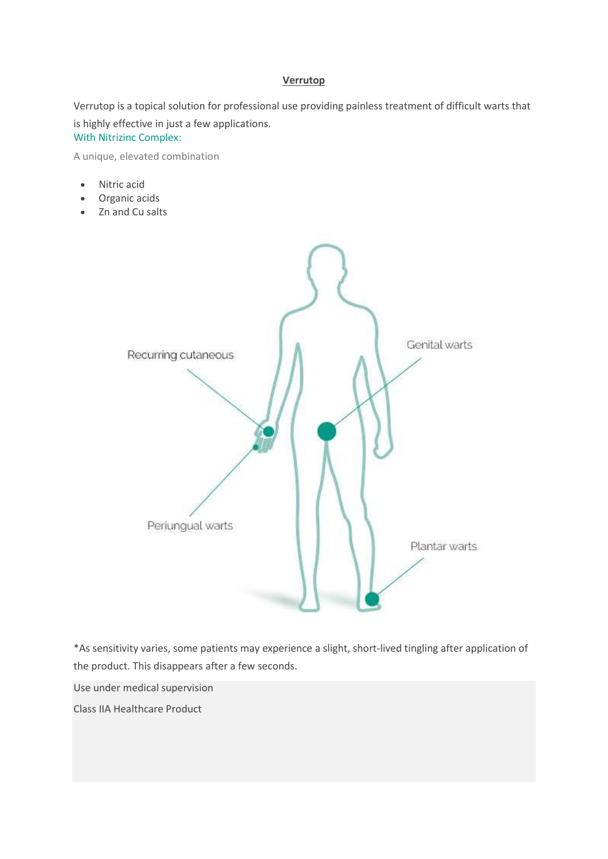#### Verrutop

Verrutop is a topical solution for professional use providing painless treatment of difficult warts that is highly effective in just a few applications.

With Nitrizinc Complex:

A unique, elevated combination

- Nitric acid
- Organic acids
- Zn and Cu salts



\*As sensitivity varies, some patients may experience a slight, short-lived tingling after application of the product. This disappears after a few seconds.

Use under medical supervision

Class IIA Healthcare Product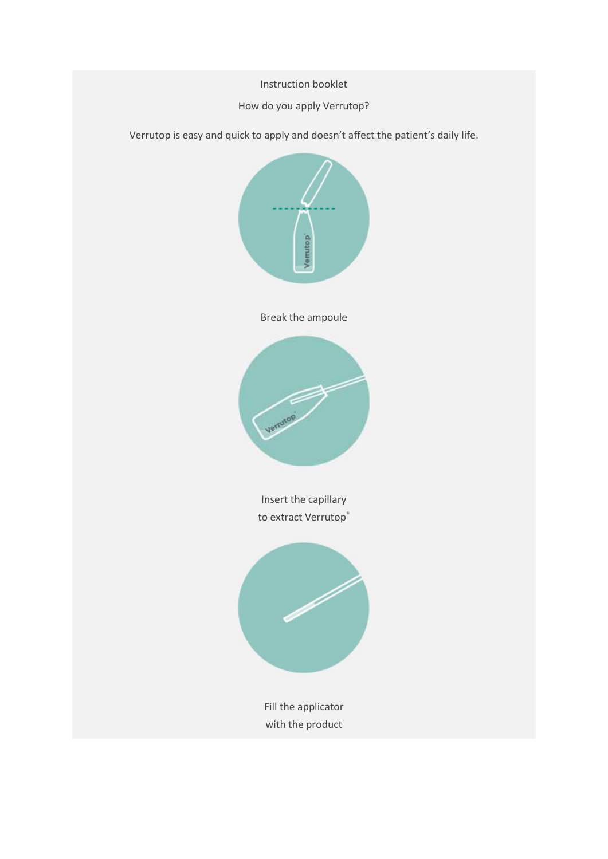Instruction booklet

## How do you apply Verrutop?

Verrutop is easy and quick to apply and doesn't affect the patient's daily life.



Break the ampoule



Insert the capillary to extract Verrutop®



Fill the applicator with the product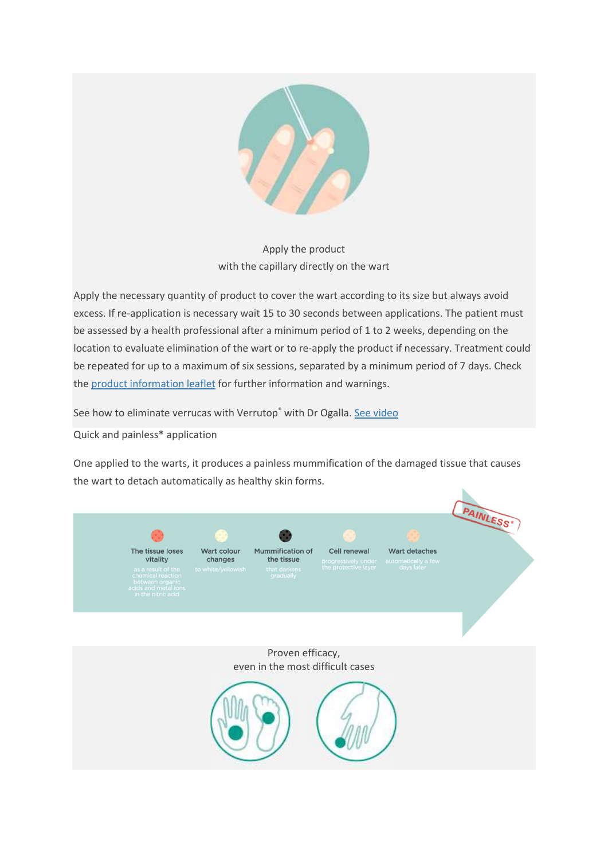

# Apply the product with the capillary directly on the wart

Apply the necessary quantity of product to cover the wart according to its size but always avoid excess. If re-application is necessary wait 15 to 30 seconds between applications. The patient must be assessed by a health professional after a minimum period of 1 to 2 weeks, depending on the location to evaluate elimination of the wart or to re-apply the product if necessary. Treatment could be repeated for up to a maximum of six sessions, separated by a minimum period of 7 days. Check the product information leaflet for further information and warnings.

See how to eliminate verrucas with Verrutop® with Dr Ogalla. See video

Quick and painless\* application

One applied to the warts, it produces a painless mummification of the damaged tissue that causes the wart to detach automatically as healthy skin forms.

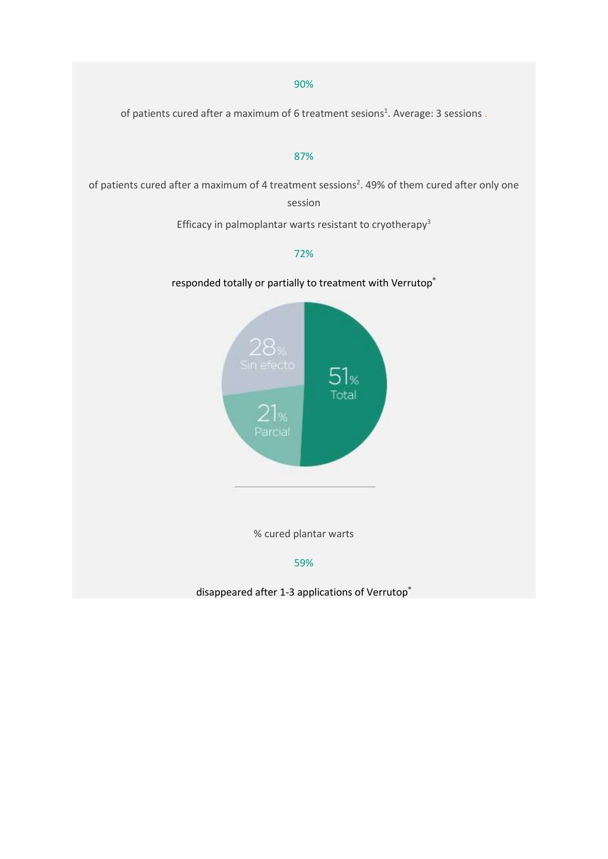#### 90%

of patients cured after a maximum of 6 treatment sesions<sup>1</sup>. Average: 3 sessions.

#### 87%

of patients cured after a maximum of 4 treatment sessions<sup>2</sup>. 49% of them cured after only one session

Efficacy in palmoplantar warts resistant to cryotherapy<sup>3</sup>

### 72%

responded totally or partially to treatment with Verrutop®



% cured plantar warts

#### 59%

disappeared after 1-3 applications of Verrutop®